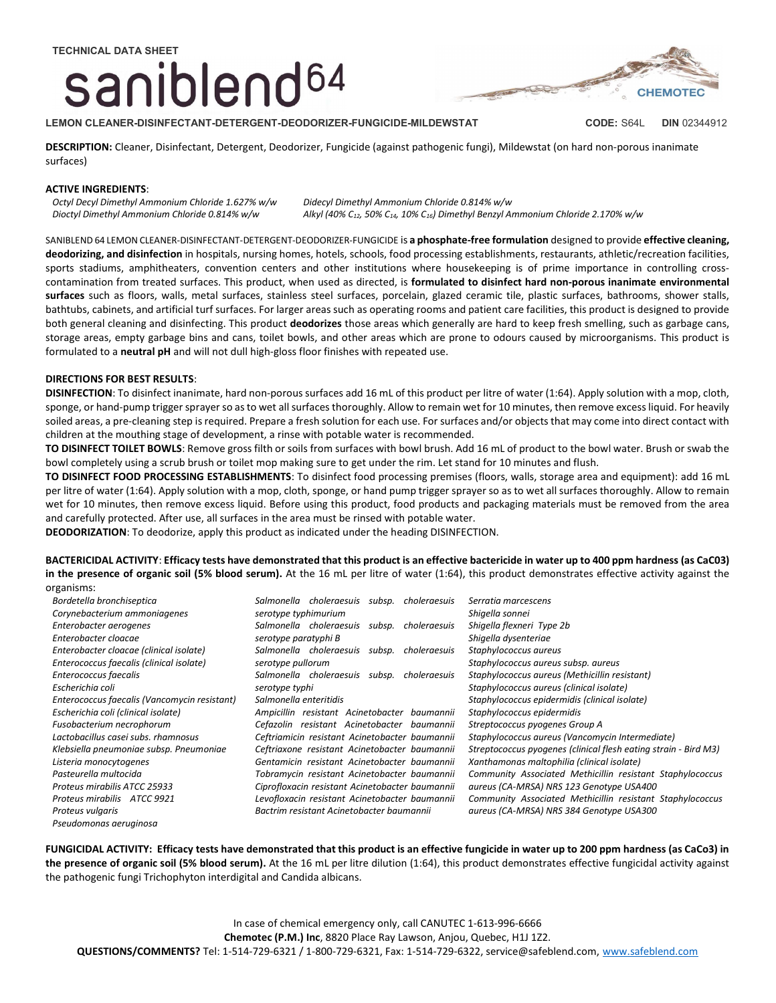# saniblend<sup>64</sup>



LEMON CLEANER-DISINFECTANT-DETERGENT-DEODORIZER-FUNGICIDE-MILDEWSTAT CODE: S64L DIN 02344912

DESCRIPTION: Cleaner, Disinfectant, Detergent, Deodorizer, Fungicide (against pathogenic fungi), Mildewstat (on hard non-porous inanimate surfaces)

### ACTIVE INGREDIENTS:

Octyl Decyl Dimethyl Ammonium Chloride 1.627% w/w Dioctyl Dimethyl Ammonium Chloride 0.814% w/w

Didecyl Dimethyl Ammonium Chloride 0.814% w/w Alkyl (40% C<sub>12</sub>, 50% C<sub>14</sub>, 10% C<sub>16</sub>) Dimethyl Benzyl Ammonium Chloride 2.170% w/w

SANIBLEND 64 LEMON CLEANER-DISINFECTANT-DETERGENT-DEODORIZER-FUNGICIDE is a phosphate-free formulation designed to provide effective cleaning, deodorizing, and disinfection in hospitals, nursing homes, hotels, schools, food processing establishments, restaurants, athletic/recreation facilities, sports stadiums, amphitheaters, convention centers and other institutions where housekeeping is of prime importance in controlling crosscontamination from treated surfaces. This product, when used as directed, is formulated to disinfect hard non-porous inanimate environmental surfaces such as floors, walls, metal surfaces, stainless steel surfaces, porcelain, glazed ceramic tile, plastic surfaces, bathrooms, shower stalls, bathtubs, cabinets, and artificial turf surfaces. For larger areas such as operating rooms and patient care facilities, this product is designed to provide both general cleaning and disinfecting. This product deodorizes those areas which generally are hard to keep fresh smelling, such as garbage cans, storage areas, empty garbage bins and cans, toilet bowls, and other areas which are prone to odours caused by microorganisms. This product is formulated to a neutral pH and will not dull high-gloss floor finishes with repeated use.

### DIRECTIONS FOR BEST RESULTS:

DISINFECTION: To disinfect inanimate, hard non-porous surfaces add 16 mL of this product per litre of water (1:64). Apply solution with a mop, cloth, sponge, or hand-pump trigger sprayer so as to wet all surfaces thoroughly. Allow to remain wet for 10 minutes, then remove excess liquid. For heavily soiled areas, a pre-cleaning step is required. Prepare a fresh solution for each use. For surfaces and/or objects that may come into direct contact with children at the mouthing stage of development, a rinse with potable water is recommended.

TO DISINFECT TOILET BOWLS: Remove gross filth or soils from surfaces with bowl brush. Add 16 mL of product to the bowl water. Brush or swab the bowl completely using a scrub brush or toilet mop making sure to get under the rim. Let stand for 10 minutes and flush.

TO DISINFECT FOOD PROCESSING ESTABLISHMENTS: To disinfect food processing premises (floors, walls, storage area and equipment): add 16 mL per litre of water (1:64). Apply solution with a mop, cloth, sponge, or hand pump trigger sprayer so as to wet all surfaces thoroughly. Allow to remain wet for 10 minutes, then remove excess liquid. Before using this product, food products and packaging materials must be removed from the area and carefully protected. After use, all surfaces in the area must be rinsed with potable water.

DEODORIZATION: To deodorize, apply this product as indicated under the heading DISINFECTION.

BACTERICIDAL ACTIVITY: Efficacy tests have demonstrated that this product is an effective bactericide in water up to 400 ppm hardness (as CaC03) in the presence of organic soil (5% blood serum). At the 16 mL per litre of water (1:64), this product demonstrates effective activity against the organisms:

| ul guillailla.                               |                                                                                                             |                                                                 |  |
|----------------------------------------------|-------------------------------------------------------------------------------------------------------------|-----------------------------------------------------------------|--|
| Bordetella bronchiseptica                    | Salmonella choleraesuis<br>choleraesuis<br>subsp.                                                           | Serratia marcescens                                             |  |
| Corynebacterium ammoniagenes                 | serotype typhimurium                                                                                        | Shigella sonnei                                                 |  |
| Enterobacter aerogenes                       | Salmonella choleraesuis<br>choleraesuis<br>subsp.                                                           | Shigella flexneri Type 2b                                       |  |
| Enterobacter cloacae                         | serotype paratyphi B                                                                                        | Shigella dysenteriae                                            |  |
| Enterobacter cloacae (clinical isolate)      | Salmonella choleraesuis<br>subsp.<br>choleraesuis                                                           | Staphylococcus aureus                                           |  |
| Enterococcus faecalis (clinical isolate)     | serotype pullorum                                                                                           | Staphylococcus aureus subsp. aureus                             |  |
| Enterococcus faecalis                        | Salmonella choleraesuis<br>choleraesuis<br>subsp.                                                           | Staphylococcus aureus (Methicillin resistant)                   |  |
| Escherichia coli                             | serotype typhi                                                                                              | Staphylococcus aureus (clinical isolate)                        |  |
| Enterococcus faecalis (Vancomycin resistant) | Salmonella enteritidis                                                                                      | Staphylococcus epidermidis (clinical isolate)                   |  |
| Escherichia coli (clinical isolate)          | Ampicillin resistant Acinetobacter<br>baumannii                                                             | Staphylococcus epidermidis                                      |  |
| Fusobacterium necrophorum                    | Cefazolin resistant Acinetobacter baumannii                                                                 | Streptococcus pyogenes Group A                                  |  |
| Lactobacillus casei subs, rhamnosus          | Ceftriamicin resistant Acinetobacter baumannii                                                              | Staphylococcus aureus (Vancomycin Intermediate)                 |  |
| Klebsiella pneumoniae subsp. Pneumoniae      | Ceftriaxone resistant Acinetobacter baumannii                                                               | Streptococcus pyogenes (clinical flesh eating strain - Bird M3) |  |
| Listeria monocytogenes                       | Gentamicin resistant Acinetobacter baumannii                                                                | Xanthamonas maltophilia (clinical isolate)                      |  |
| Pasteurella multocida                        | Tobramycin resistant Acinetobacter baumannii                                                                | Community Associated Methicillin resistant Staphylococcus       |  |
| Proteus mirabilis ATCC 25933                 | Ciprofloxacin resistant Acinetobacter baumannii                                                             | aureus (CA-MRSA) NRS 123 Genotype USA400                        |  |
| Proteus mirabilis ATCC 9921                  | Levofloxacin resistant Acinetobacter baumannii<br>Community Associated Methicillin resistant Staphylococcus |                                                                 |  |
| Proteus vulgaris                             | Bactrim resistant Acinetobacter baumannii                                                                   | aureus (CA-MRSA) NRS 384 Genotype USA300                        |  |
| Pseudomonas aeruginosa                       |                                                                                                             |                                                                 |  |

FUNGICIDAL ACTIVITY: Efficacy tests have demonstrated that this product is an effective fungicide in water up to 200 ppm hardness (as CaCo3) in the presence of organic soil (5% blood serum). At the 16 mL per litre dilution (1:64), this product demonstrates effective fungicidal activity against the pathogenic fungi Trichophyton interdigital and Candida albicans.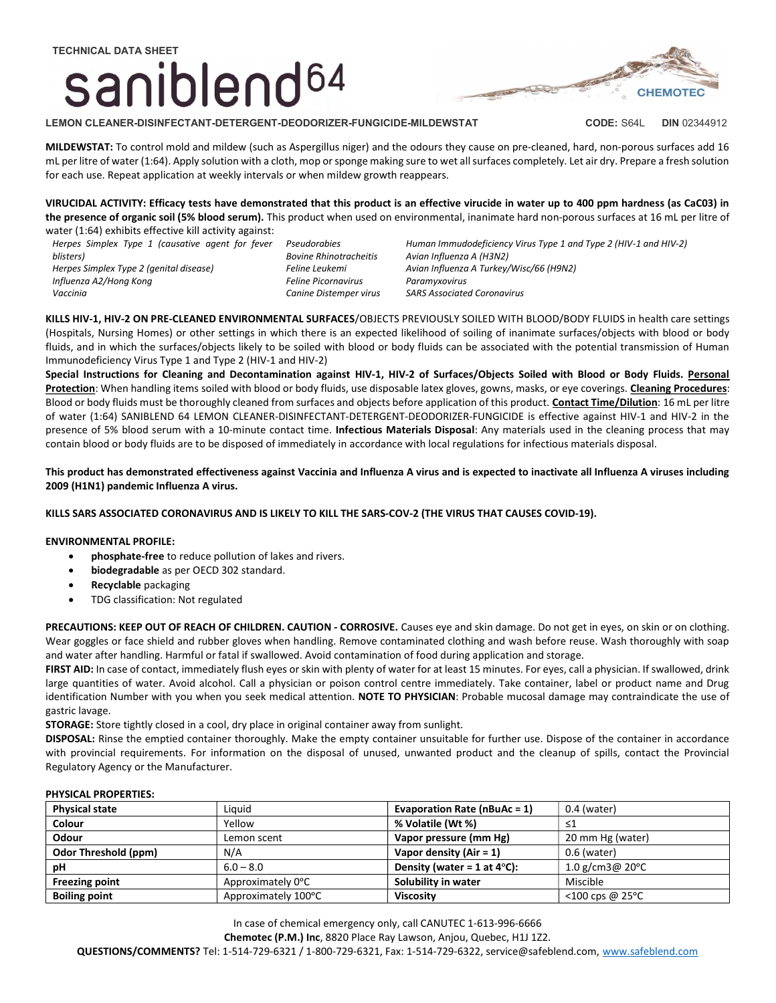## TECHNICAL DATA SHEET saniblend<sup>64</sup>



MILDEWSTAT: To control mold and mildew (such as Aspergillus niger) and the odours they cause on pre-cleaned, hard, non-porous surfaces add 16 mL per litre of water (1:64). Apply solution with a cloth, mop or sponge making sure to wet all surfaces completely. Let air dry. Prepare a fresh solution for each use. Repeat application at weekly intervals or when mildew growth reappears.

VIRUCIDAL ACTIVITY: Efficacy tests have demonstrated that this product is an effective virucide in water up to 400 ppm hardness (as CaC03) in the presence of organic soil (5% blood serum). This product when used on environmental, inanimate hard non-porous surfaces at 16 mL per litre of water (1:64) exhibits effective kill activity against:

Herpes Simplex Type 1 (causative agent for fever blisters) Herpes Simplex Type 2 (genital disease) Influenza A2/Hong Kong Vaccinia

Pseudorabies Bovine Rhinotracheitis Feline Leukemi Feline Picornavirus Canine Distemper virus Human Immudodeficiency Virus Type 1 and Type 2 (HIV-1 and HIV-2) Avian Influenza A (H3N2) Avian Influenza A Turkey/Wisc/66 (H9N2) Paramyxovirus SARS Associated Coronavirus

KILLS HIV-1, HIV-2 ON PRE-CLEANED ENVIRONMENTAL SURFACES/OBJECTS PREVIOUSLY SOILED WITH BLOOD/BODY FLUIDS in health care settings (Hospitals, Nursing Homes) or other settings in which there is an expected likelihood of soiling of inanimate surfaces/objects with blood or body fluids, and in which the surfaces/objects likely to be soiled with blood or body fluids can be associated with the potential transmission of Human Immunodeficiency Virus Type 1 and Type 2 (HIV-1 and HIV-2)

Special Instructions for Cleaning and Decontamination against HIV-1, HIV-2 of Surfaces/Objects Soiled with Blood or Body Fluids. Personal Protection: When handling items soiled with blood or body fluids, use disposable latex gloves, gowns, masks, or eye coverings. Cleaning Procedures: Blood or body fluids must be thoroughly cleaned from surfaces and objects before application of this product. Contact Time/Dilution: 16 mL per litre of water (1:64) SANIBLEND 64 LEMON CLEANER-DISINFECTANT-DETERGENT-DEODORIZER-FUNGICIDE is effective against HIV-1 and HIV-2 in the presence of 5% blood serum with a 10-minute contact time. Infectious Materials Disposal: Any materials used in the cleaning process that may contain blood or body fluids are to be disposed of immediately in accordance with local regulations for infectious materials disposal.

This product has demonstrated effectiveness against Vaccinia and Influenza A virus and is expected to inactivate all Influenza A viruses including 2009 (H1N1) pandemic Influenza A virus.

KILLS SARS ASSOCIATED CORONAVIRUS AND IS LIKELY TO KILL THE SARS-COV-2 (THE VIRUS THAT CAUSES COVID-19).

### ENVIRONMENTAL PROFILE:

- phosphate-free to reduce pollution of lakes and rivers.
- biodegradable as per OECD 302 standard.
- Recyclable packaging
- TDG classification: Not regulated

PRECAUTIONS: KEEP OUT OF REACH OF CHILDREN. CAUTION - CORROSIVE. Causes eye and skin damage. Do not get in eyes, on skin or on clothing. Wear goggles or face shield and rubber gloves when handling. Remove contaminated clothing and wash before reuse. Wash thoroughly with soap and water after handling. Harmful or fatal if swallowed. Avoid contamination of food during application and storage.

FIRST AID: In case of contact, immediately flush eyes or skin with plenty of water for at least 15 minutes. For eyes, call a physician. If swallowed, drink large quantities of water. Avoid alcohol. Call a physician or poison control centre immediately. Take container, label or product name and Drug identification Number with you when you seek medical attention. NOTE TO PHYSICIAN: Probable mucosal damage may contraindicate the use of gastric lavage.

STORAGE: Store tightly closed in a cool, dry place in original container away from sunlight.

DISPOSAL: Rinse the emptied container thoroughly. Make the empty container unsuitable for further use. Dispose of the container in accordance with provincial requirements. For information on the disposal of unused, unwanted product and the cleanup of spills, contact the Provincial Regulatory Agency or the Manufacturer.

### PHYSICAL PROPERTIES:

| <b>Physical state</b> | Liauid              | <b>Evaporation Rate (nBuAc = 1)</b>   | $0.4$ (water)                 |
|-----------------------|---------------------|---------------------------------------|-------------------------------|
| Colour                | Yellow              | % Volatile (Wt %)                     | ≤1                            |
| Odour                 | Lemon scent         | Vapor pressure (mm Hg)                | 20 mm Hg (water)              |
| Odor Threshold (ppm)  | N/A                 | Vapor density $(Air = 1)$             | $0.6$ (water)                 |
| рH                    | $6.0 - 8.0$         | Density (water = 1 at $4^{\circ}$ C): | 1.0 g/cm3@ 20 $^{\circ}$ C    |
| <b>Freezing point</b> | Approximately 0°C   | Solubility in water                   | Miscible                      |
| <b>Boiling point</b>  | Approximately 100°C | <b>Viscosity</b>                      | $<$ 100 cps @ 25 $^{\circ}$ C |

In case of chemical emergency only, call CANUTEC 1-613-996-6666

Chemotec (P.M.) Inc, 8820 Place Ray Lawson, Anjou, Quebec, H1J 1Z2.

QUESTIONS/COMMENTS? Tel: 1-514-729-6321 / 1-800-729-6321, Fax: 1-514-729-6322, service@safeblend.com, www.safeblend.com